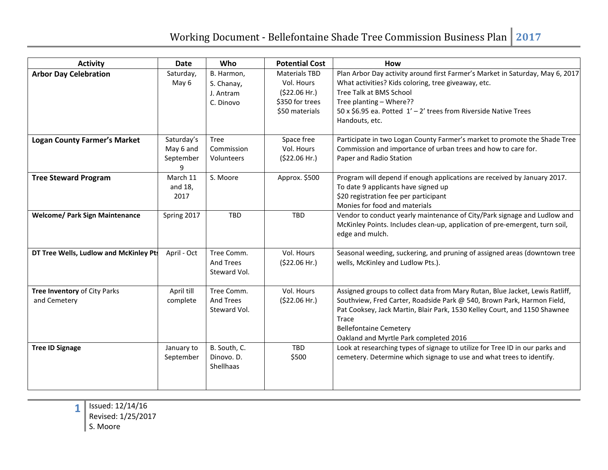| <b>Activity</b>                              | <b>Date</b>                          | Who                                                | <b>Potential Cost</b>                                                                   | <b>How</b>                                                                                                                                                                                                                                                                                                              |
|----------------------------------------------|--------------------------------------|----------------------------------------------------|-----------------------------------------------------------------------------------------|-------------------------------------------------------------------------------------------------------------------------------------------------------------------------------------------------------------------------------------------------------------------------------------------------------------------------|
| <b>Arbor Day Celebration</b>                 | Saturday,<br>May 6                   | B. Harmon,<br>S. Chanay,<br>J. Antram<br>C. Dinovo | <b>Materials TBD</b><br>Vol. Hours<br>(522.06 Hr.)<br>\$350 for trees<br>\$50 materials | Plan Arbor Day activity around first Farmer's Market in Saturday, May 6, 2017<br>What activities? Kids coloring, tree giveaway, etc.<br>Tree Talk at BMS School<br>Tree planting - Where??<br>50 x \$6.95 ea. Potted 1' - 2' trees from Riverside Native Trees<br>Handouts, etc.                                        |
| <b>Logan County Farmer's Market</b>          | Saturday's<br>May 6 and<br>September | <b>Tree</b><br>Commission<br>Volunteers            | Space free<br>Vol. Hours<br>(\$22.06 Hr.)                                               | Participate in two Logan County Farmer's market to promote the Shade Tree<br>Commission and importance of urban trees and how to care for.<br>Paper and Radio Station                                                                                                                                                   |
| <b>Tree Steward Program</b>                  | March 11<br>and 18,<br>2017          | S. Moore                                           | Approx. \$500                                                                           | Program will depend if enough applications are received by January 2017.<br>To date 9 applicants have signed up<br>\$20 registration fee per participant<br>Monies for food and materials                                                                                                                               |
| <b>Welcome/ Park Sign Maintenance</b>        | Spring 2017                          | <b>TBD</b>                                         | <b>TBD</b>                                                                              | Vendor to conduct yearly maintenance of City/Park signage and Ludlow and<br>McKinley Points. Includes clean-up, application of pre-emergent, turn soil,<br>edge and mulch.                                                                                                                                              |
| DT Tree Wells, Ludlow and McKinley Pts       | April - Oct                          | Tree Comm.<br><b>And Trees</b><br>Steward Vol.     | Vol. Hours<br>(\$22.06 Hr.)                                                             | Seasonal weeding, suckering, and pruning of assigned areas (downtown tree<br>wells, McKinley and Ludlow Pts.).                                                                                                                                                                                                          |
| Tree Inventory of City Parks<br>and Cemetery | April till<br>complete               | Tree Comm.<br>And Trees<br>Steward Vol.            | Vol. Hours<br>(\$22.06 Hr.)                                                             | Assigned groups to collect data from Mary Rutan, Blue Jacket, Lewis Ratliff,<br>Southview, Fred Carter, Roadside Park @ 540, Brown Park, Harmon Field,<br>Pat Cooksey, Jack Martin, Blair Park, 1530 Kelley Court, and 1150 Shawnee<br>Trace<br><b>Bellefontaine Cemetery</b><br>Oakland and Myrtle Park completed 2016 |
| <b>Tree ID Signage</b>                       | January to<br>September              | B. South, C.<br>Dinovo. D.<br>Shellhaas            | <b>TBD</b><br>\$500                                                                     | Look at researching types of signage to utilize for Tree ID in our parks and<br>cemetery. Determine which signage to use and what trees to identify.                                                                                                                                                                    |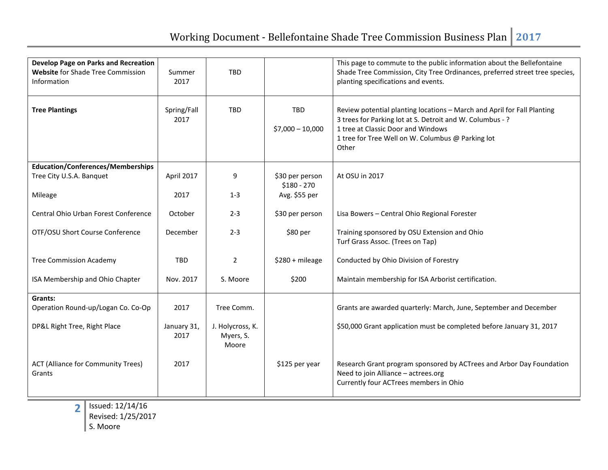| Develop Page on Parks and Recreation<br>Website for Shade Tree Commission<br>Information | Summer<br>2017      | <b>TBD</b>                             |                                 | This page to commute to the public information about the Bellefontaine<br>Shade Tree Commission, City Tree Ordinances, preferred street tree species,<br>planting specifications and events.                                             |
|------------------------------------------------------------------------------------------|---------------------|----------------------------------------|---------------------------------|------------------------------------------------------------------------------------------------------------------------------------------------------------------------------------------------------------------------------------------|
| <b>Tree Plantings</b>                                                                    | Spring/Fall<br>2017 | <b>TBD</b>                             | <b>TBD</b><br>$$7,000 - 10,000$ | Review potential planting locations - March and April for Fall Planting<br>3 trees for Parking lot at S. Detroit and W. Columbus - ?<br>1 tree at Classic Door and Windows<br>1 tree for Tree Well on W. Columbus @ Parking lot<br>Other |
| <b>Education/Conferences/Memberships</b>                                                 |                     |                                        |                                 |                                                                                                                                                                                                                                          |
| Tree City U.S.A. Banquet                                                                 | April 2017          | 9                                      | \$30 per person<br>$$180 - 270$ | At OSU in 2017                                                                                                                                                                                                                           |
| Mileage                                                                                  | 2017                | $1 - 3$                                | Avg. \$55 per                   |                                                                                                                                                                                                                                          |
|                                                                                          |                     |                                        |                                 |                                                                                                                                                                                                                                          |
| Central Ohio Urban Forest Conference                                                     | October             | $2 - 3$                                | \$30 per person                 | Lisa Bowers - Central Ohio Regional Forester                                                                                                                                                                                             |
| OTF/OSU Short Course Conference                                                          | December            | $2 - 3$                                | \$80 per                        | Training sponsored by OSU Extension and Ohio                                                                                                                                                                                             |
|                                                                                          |                     |                                        |                                 | Turf Grass Assoc. (Trees on Tap)                                                                                                                                                                                                         |
| <b>Tree Commission Academy</b>                                                           | <b>TBD</b>          | $\overline{2}$                         | \$280 + mileage                 | Conducted by Ohio Division of Forestry                                                                                                                                                                                                   |
| ISA Membership and Ohio Chapter                                                          | Nov. 2017           | S. Moore                               | \$200                           | Maintain membership for ISA Arborist certification.                                                                                                                                                                                      |
|                                                                                          |                     |                                        |                                 |                                                                                                                                                                                                                                          |
| Grants:                                                                                  |                     |                                        |                                 |                                                                                                                                                                                                                                          |
| Operation Round-up/Logan Co. Co-Op                                                       | 2017                | Tree Comm.                             |                                 | Grants are awarded quarterly: March, June, September and December                                                                                                                                                                        |
| DP&L Right Tree, Right Place                                                             | January 31,<br>2017 | J. Holycross, K.<br>Myers, S.<br>Moore |                                 | \$50,000 Grant application must be completed before January 31, 2017                                                                                                                                                                     |
| <b>ACT (Alliance for Community Trees)</b><br>Grants                                      | 2017                |                                        | \$125 per year                  | Research Grant program sponsored by ACTrees and Arbor Day Foundation<br>Need to join Alliance - actrees.org<br>Currently four ACTrees members in Ohio                                                                                    |